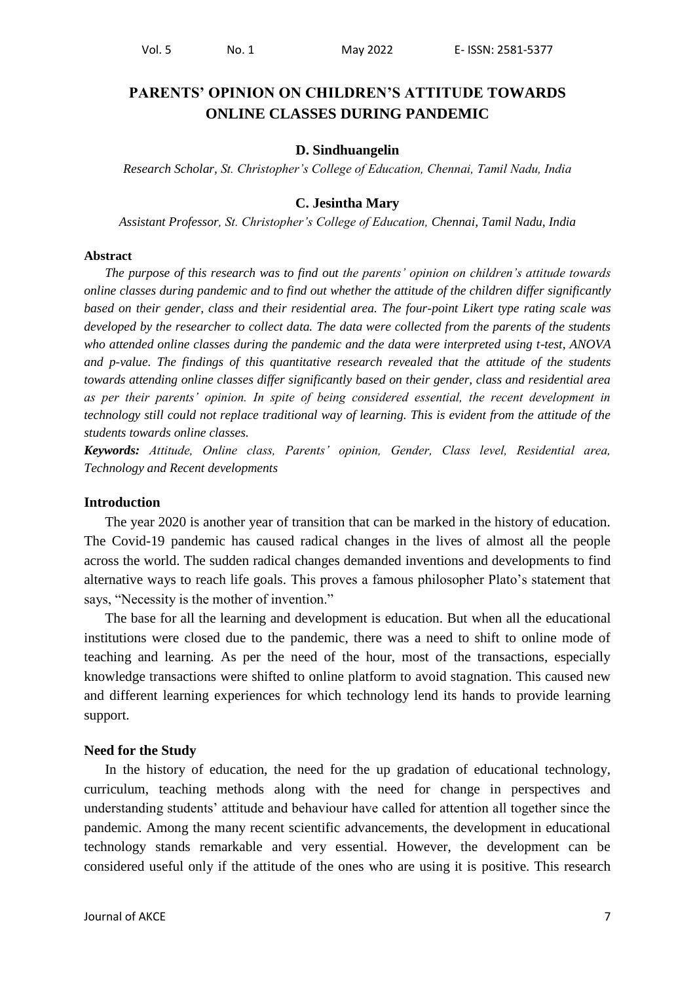# **PARENTS' OPINION ON CHILDREN'S ATTITUDE TOWARDS ONLINE CLASSES DURING PANDEMIC**

### **D. Sindhuangelin**

*Research Scholar, St. Christopher's College of Education, Chennai, Tamil Nadu, India*

### **C. Jesintha Mary**

*Assistant Professor, St. Christopher's College of Education, Chennai, Tamil Nadu, India*

#### **Abstract**

*The purpose of this research was to find out the parents' opinion on children's attitude towards online classes during pandemic and to find out whether the attitude of the children differ significantly based on their gender, class and their residential area. The four-point Likert type rating scale was developed by the researcher to collect data. The data were collected from the parents of the students who attended online classes during the pandemic and the data were interpreted using t-test, ANOVA and p-value. The findings of this quantitative research revealed that the attitude of the students towards attending online classes differ significantly based on their gender, class and residential area as per their parents' opinion. In spite of being considered essential, the recent development in technology still could not replace traditional way of learning. This is evident from the attitude of the students towards online classes.*

*Keywords: Attitude, Online class, Parents' opinion, Gender, Class level, Residential area, Technology and Recent developments*

#### **Introduction**

The year 2020 is another year of transition that can be marked in the history of education. The Covid-19 pandemic has caused radical changes in the lives of almost all the people across the world. The sudden radical changes demanded inventions and developments to find alternative ways to reach life goals. This proves a famous philosopher Plato's statement that says, "Necessity is the mother of invention."

The base for all the learning and development is education. But when all the educational institutions were closed due to the pandemic, there was a need to shift to online mode of teaching and learning. As per the need of the hour, most of the transactions, especially knowledge transactions were shifted to online platform to avoid stagnation. This caused new and different learning experiences for which technology lend its hands to provide learning support.

### **Need for the Study**

In the history of education, the need for the up gradation of educational technology, curriculum, teaching methods along with the need for change in perspectives and understanding students' attitude and behaviour have called for attention all together since the pandemic. Among the many recent scientific advancements, the development in educational technology stands remarkable and very essential. However, the development can be considered useful only if the attitude of the ones who are using it is positive. This research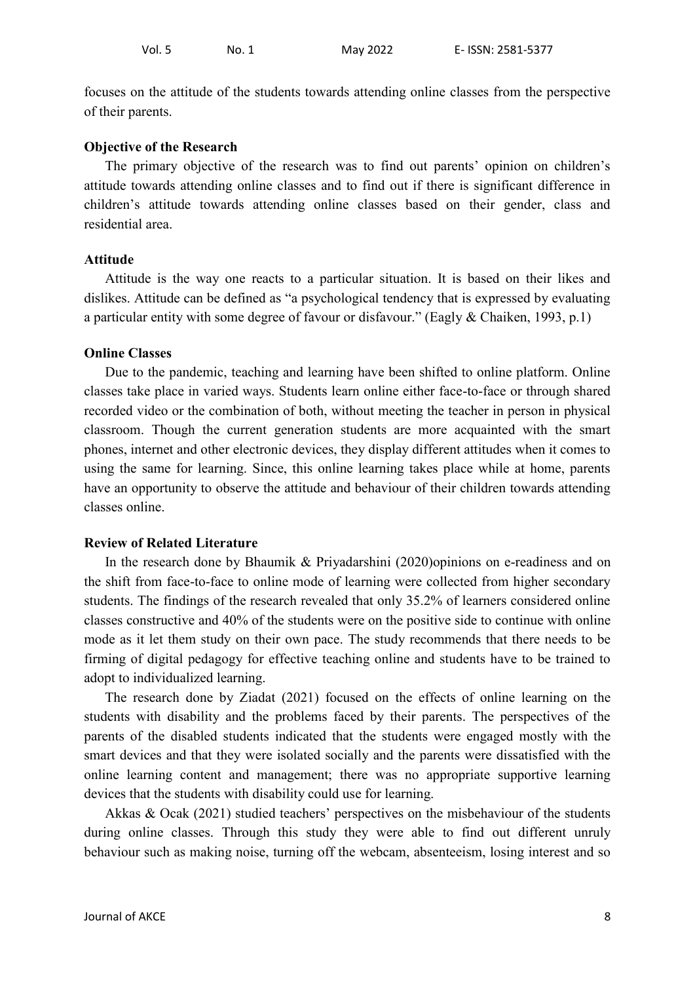focuses on the attitude of the students towards attending online classes from the perspective of their parents.

#### **Objective of the Research**

The primary objective of the research was to find out parents' opinion on children's attitude towards attending online classes and to find out if there is significant difference in children's attitude towards attending online classes based on their gender, class and residential area.

### **Attitude**

Attitude is the way one reacts to a particular situation. It is based on their likes and dislikes. Attitude can be defined as "a psychological tendency that is expressed by evaluating a particular entity with some degree of favour or disfavour." (Eagly  $& Chaiken, 1993, p.1$ )

### **Online Classes**

Due to the pandemic, teaching and learning have been shifted to online platform. Online classes take place in varied ways. Students learn online either face-to-face or through shared recorded video or the combination of both, without meeting the teacher in person in physical classroom. Though the current generation students are more acquainted with the smart phones, internet and other electronic devices, they display different attitudes when it comes to using the same for learning. Since, this online learning takes place while at home, parents have an opportunity to observe the attitude and behaviour of their children towards attending classes online.

### **Review of Related Literature**

In the research done by Bhaumik & Priyadarshini (2020)opinions on e-readiness and on the shift from face-to-face to online mode of learning were collected from higher secondary students. The findings of the research revealed that only 35.2% of learners considered online classes constructive and 40% of the students were on the positive side to continue with online mode as it let them study on their own pace. The study recommends that there needs to be firming of digital pedagogy for effective teaching online and students have to be trained to adopt to individualized learning.

The research done by Ziadat (2021) focused on the effects of online learning on the students with disability and the problems faced by their parents. The perspectives of the parents of the disabled students indicated that the students were engaged mostly with the smart devices and that they were isolated socially and the parents were dissatisfied with the online learning content and management; there was no appropriate supportive learning devices that the students with disability could use for learning.

Akkas & Ocak (2021) studied teachers' perspectives on the misbehaviour of the students during online classes. Through this study they were able to find out different unruly behaviour such as making noise, turning off the webcam, absenteeism, losing interest and so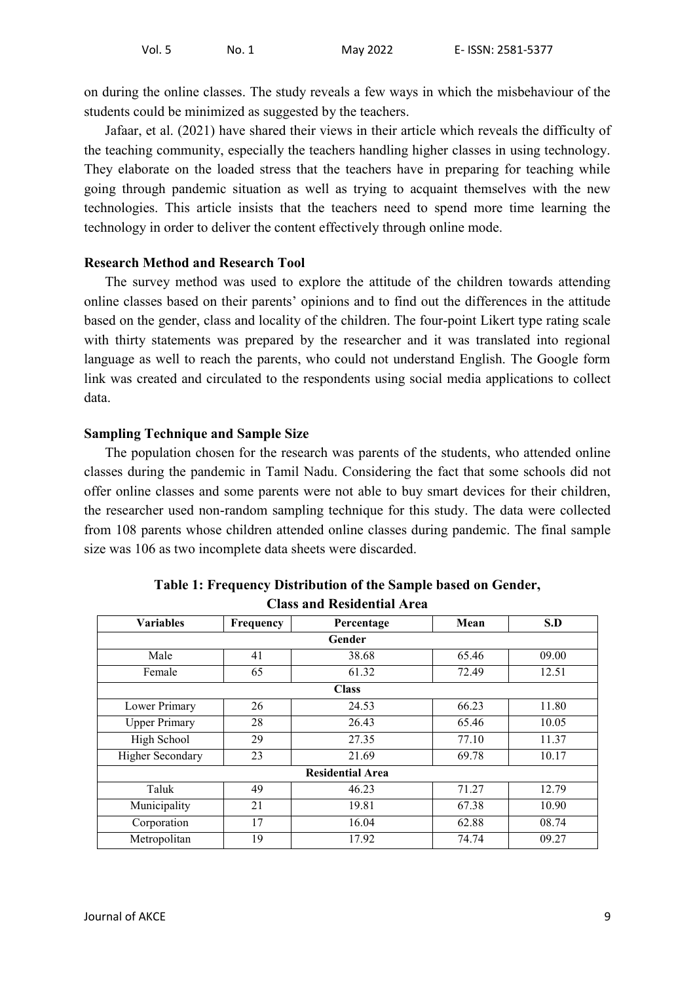on during the online classes. The study reveals a few ways in which the misbehaviour of the students could be minimized as suggested by the teachers.

Jafaar, et al. (2021) have shared their views in their article which reveals the difficulty of the teaching community, especially the teachers handling higher classes in using technology. They elaborate on the loaded stress that the teachers have in preparing for teaching while going through pandemic situation as well as trying to acquaint themselves with the new technologies. This article insists that the teachers need to spend more time learning the technology in order to deliver the content effectively through online mode.

## **Research Method and Research Tool**

The survey method was used to explore the attitude of the children towards attending online classes based on their parents' opinions and to find out the differences in the attitude based on the gender, class and locality of the children. The four-point Likert type rating scale with thirty statements was prepared by the researcher and it was translated into regional language as well to reach the parents, who could not understand English. The Google form link was created and circulated to the respondents using social media applications to collect data.

## **Sampling Technique and Sample Size**

The population chosen for the research was parents of the students, who attended online classes during the pandemic in Tamil Nadu. Considering the fact that some schools did not offer online classes and some parents were not able to buy smart devices for their children, the researcher used non-random sampling technique for this study. The data were collected from 108 parents whose children attended online classes during pandemic. The final sample size was 106 as two incomplete data sheets were discarded.

| <b>Variables</b>        | Frequency   | Percentage              | Mean  | S.D   |  |  |  |  |
|-------------------------|-------------|-------------------------|-------|-------|--|--|--|--|
| Gender                  |             |                         |       |       |  |  |  |  |
| Male                    | 41          | 38.68                   | 65.46 | 09.00 |  |  |  |  |
| Female                  | 65          | 61.32                   | 72.49 | 12.51 |  |  |  |  |
|                         |             | <b>Class</b>            |       |       |  |  |  |  |
| Lower Primary           | 26          | 24.53                   | 66.23 | 11.80 |  |  |  |  |
| <b>Upper Primary</b>    | 28          | 26.43                   | 65.46 | 10.05 |  |  |  |  |
| High School             | 29          | 27.35                   | 77.10 | 11.37 |  |  |  |  |
| <b>Higher Secondary</b> | 23<br>21.69 |                         | 69.78 | 10.17 |  |  |  |  |
|                         |             | <b>Residential Area</b> |       |       |  |  |  |  |
| Taluk                   | 49          | 46.23                   | 71.27 | 12.79 |  |  |  |  |
| Municipality            | 21          | 19.81                   | 67.38 | 10.90 |  |  |  |  |
| Corporation             | 17          | 16.04                   | 62.88 | 08.74 |  |  |  |  |
| Metropolitan            | 19          | 17.92                   | 74.74 | 09.27 |  |  |  |  |

| Table 1: Frequency Distribution of the Sample based on Gender, |
|----------------------------------------------------------------|
| <b>Class and Residential Area</b>                              |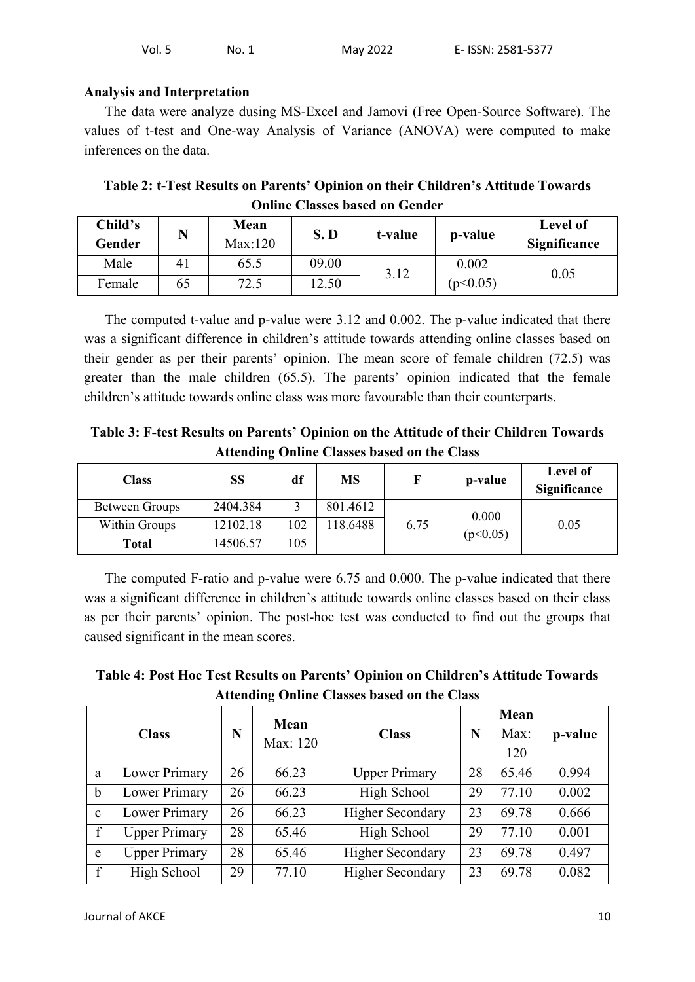| Vol. 5<br>No. 1 | May 2022 | E- ISSN: 2581-5377 |
|-----------------|----------|--------------------|
|-----------------|----------|--------------------|

### **Analysis and Interpretation**

The data were analyze dusing MS-Excel and Jamovi (Free Open-Source Software). The values of t-test and One-way Analysis of Variance (ANOVA) were computed to make inferences on the data.

| Table 2: t-Test Results on Parents' Opinion on their Children's Attitude Towards |  |
|----------------------------------------------------------------------------------|--|
| <b>Online Classes based on Gender</b>                                            |  |

| Child's<br>Gender | N  | Mean<br>Max:120 | S.D   | t-value | p-value  | Level of<br><b>Significance</b> |
|-------------------|----|-----------------|-------|---------|----------|---------------------------------|
| Male              | 41 | 65.5            | 09.00 | 3.12    | 0.002    | 0.05                            |
| Female            | 65 | 72.5            | 12.50 |         | (p<0.05) |                                 |

The computed t-value and p-value were 3.12 and 0.002. The p-value indicated that there was a significant difference in children's attitude towards attending online classes based on their gender as per their parents' opinion. The mean score of female children (72.5) was greater than the male children (65.5). The parents' opinion indicated that the female children's attitude towards online class was more favourable than their counterparts.

**Table 3: F-test Results on Parents' Opinion on the Attitude of their Children Towards Attending Online Classes based on the Class**

| Class          | SS       | df  | MS       |      | p-value  | Level of<br>Significance |
|----------------|----------|-----|----------|------|----------|--------------------------|
| Between Groups | 2404.384 |     | 801.4612 |      | 0.000    | 0.05                     |
| Within Groups  | 12102.18 | 102 | 118.6488 | 6.75 | (p<0.05) |                          |
| <b>Total</b>   | 14506.57 | 105 |          |      |          |                          |

The computed F-ratio and p-value were 6.75 and 0.000. The p-value indicated that there was a significant difference in children's attitude towards online classes based on their class as per their parents' opinion. The post-hoc test was conducted to find out the groups that caused significant in the mean scores.

**Table 4: Post Hoc Test Results on Parents' Opinion on Children's Attitude Towards Attending Online Classes based on the Class**

| <b>Class</b> |                      | N  | Mean<br>Max: 120 | <b>Class</b>            | N  | Mean<br>Max:<br>120 | p-value |
|--------------|----------------------|----|------------------|-------------------------|----|---------------------|---------|
| a            | Lower Primary        | 26 | 66.23            | <b>Upper Primary</b>    | 28 | 65.46               | 0.994   |
| $\mathbf b$  | Lower Primary        | 26 | 66.23            | High School             | 29 | 77.10               | 0.002   |
| $\mathbf c$  | Lower Primary        | 26 | 66.23            | <b>Higher Secondary</b> | 23 | 69.78               | 0.666   |
| f            | <b>Upper Primary</b> | 28 | 65.46            | High School             | 29 | 77.10               | 0.001   |
| e            | <b>Upper Primary</b> | 28 | 65.46            | <b>Higher Secondary</b> | 23 | 69.78               | 0.497   |
| $\mathbf{f}$ | High School          | 29 | 77.10            | <b>Higher Secondary</b> | 23 | 69.78               | 0.082   |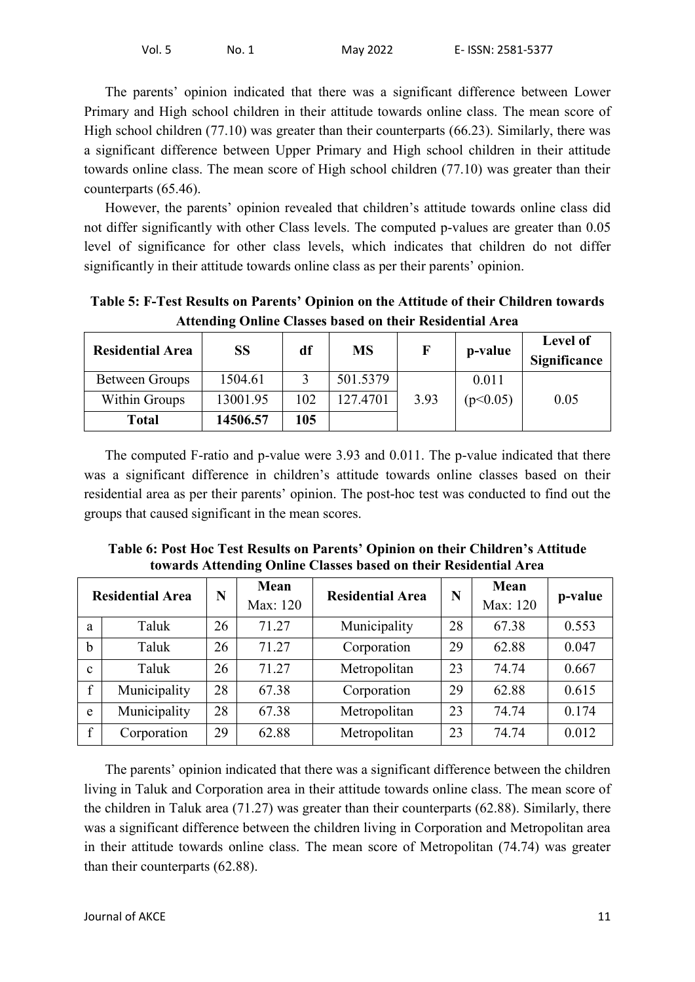The parents' opinion indicated that there was a significant difference between Lower Primary and High school children in their attitude towards online class. The mean score of High school children (77.10) was greater than their counterparts (66.23). Similarly, there was a significant difference between Upper Primary and High school children in their attitude towards online class. The mean score of High school children (77.10) was greater than their counterparts (65.46).

However, the parents' opinion revealed that children's attitude towards online class did not differ significantly with other Class levels. The computed p-values are greater than 0.05 level of significance for other class levels, which indicates that children do not differ significantly in their attitude towards online class as per their parents' opinion.

| Transmitter of the changes buyed on their recondentation on |           |     |           |             |          |                          |  |  |
|-------------------------------------------------------------|-----------|-----|-----------|-------------|----------|--------------------------|--|--|
| <b>Residential Area</b>                                     | <b>SS</b> | df  | <b>MS</b> | $\mathbf F$ | p-value  | Level of<br>Significance |  |  |
| Between Groups                                              | 1504.61   |     | 501.5379  |             | 0.011    |                          |  |  |
| Within Groups                                               | 13001.95  | 102 | 127.4701  | 3.93        | (p<0.05) | 0.05                     |  |  |
| <b>Total</b>                                                | 14506.57  | 105 |           |             |          |                          |  |  |

**Table 5: F-Test Results on Parents' Opinion on the Attitude of their Children towards Attending Online Classes based on their Residential Area**

The computed F-ratio and p-value were 3.93 and 0.011. The p-value indicated that there was a significant difference in children's attitude towards online classes based on their residential area as per their parents' opinion. The post-hoc test was conducted to find out the groups that caused significant in the mean scores.

| Table 6: Post Hoc Test Results on Parents' Opinion on their Children's Attitude |
|---------------------------------------------------------------------------------|
| towards Attending Online Classes based on their Residential Area                |

| <b>Residential Area</b> |              | N  | Mean<br>Max: 120 | <b>Residential Area</b> | N  | Mean<br>Max: 120 | p-value |
|-------------------------|--------------|----|------------------|-------------------------|----|------------------|---------|
| a                       | Taluk        | 26 | 71.27            | Municipality            | 28 | 67.38            | 0.553   |
| $\mathbf b$             | Taluk        | 26 | 71.27            | Corporation             | 29 | 62.88            | 0.047   |
| $\mathbf{c}$            | Taluk        | 26 | 71.27            | Metropolitan            | 23 | 74.74            | 0.667   |
| $\mathbf{f}$            | Municipality | 28 | 67.38            | Corporation             | 29 | 62.88            | 0.615   |
| e                       | Municipality | 28 | 67.38            | Metropolitan            | 23 | 74.74            | 0.174   |
| $\mathbf{f}$            | Corporation  | 29 | 62.88            | Metropolitan            | 23 | 74.74            | 0.012   |

The parents' opinion indicated that there was a significant difference between the children living in Taluk and Corporation area in their attitude towards online class. The mean score of the children in Taluk area (71.27) was greater than their counterparts (62.88). Similarly, there was a significant difference between the children living in Corporation and Metropolitan area in their attitude towards online class. The mean score of Metropolitan (74.74) was greater than their counterparts (62.88).